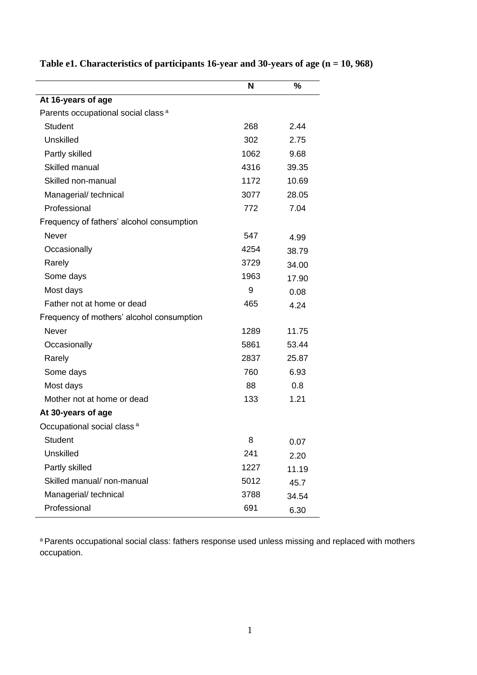|                                                | N    | $\%$  |
|------------------------------------------------|------|-------|
| At 16-years of age                             |      |       |
| Parents occupational social class <sup>a</sup> |      |       |
| <b>Student</b>                                 | 268  | 2.44  |
| Unskilled                                      | 302  | 2.75  |
| Partly skilled                                 | 1062 | 9.68  |
| Skilled manual                                 | 4316 | 39.35 |
| Skilled non-manual                             | 1172 | 10.69 |
| Managerial/technical                           | 3077 | 28.05 |
| Professional                                   | 772  | 7.04  |
| Frequency of fathers' alcohol consumption      |      |       |
| <b>Never</b>                                   | 547  | 4.99  |
| Occasionally                                   | 4254 | 38.79 |
| Rarely                                         | 3729 | 34.00 |
| Some days                                      | 1963 | 17.90 |
| Most days                                      | 9    | 0.08  |
| Father not at home or dead                     | 465  | 4.24  |
| Frequency of mothers' alcohol consumption      |      |       |
| <b>Never</b>                                   | 1289 | 11.75 |
| Occasionally                                   | 5861 | 53.44 |
| Rarely                                         | 2837 | 25.87 |
| Some days                                      | 760  | 6.93  |
| Most days                                      | 88   | 0.8   |
| Mother not at home or dead                     | 133  | 1.21  |
| At 30-years of age                             |      |       |
| Occupational social class <sup>a</sup>         |      |       |
| <b>Student</b>                                 | 8    | 0.07  |
| Unskilled                                      | 241  | 2.20  |
| Partly skilled                                 | 1227 | 11.19 |
| Skilled manual/ non-manual                     | 5012 | 45.7  |
| Managerial/technical                           | 3788 | 34.54 |
| Professional                                   | 691  | 6.30  |

**Table e1. Characteristics of participants 16-year and 30-years of age (n = 10, 968)**

a Parents occupational social class: fathers response used unless missing and replaced with mothers occupation.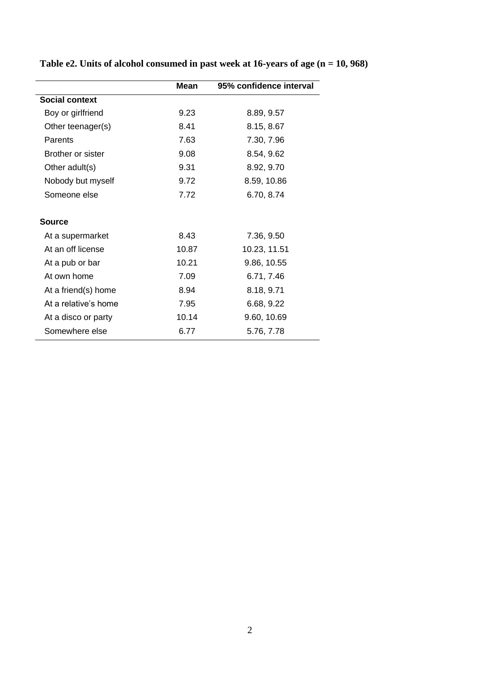|                       | <b>Mean</b> | 95% confidence interval |
|-----------------------|-------------|-------------------------|
| <b>Social context</b> |             |                         |
| Boy or girlfriend     | 9.23        | 8.89, 9.57              |
| Other teenager(s)     | 8.41        | 8.15, 8.67              |
| Parents               | 7.63        | 7.30, 7.96              |
| Brother or sister     | 9.08        | 8.54, 9.62              |
| Other adult(s)        | 9.31        | 8.92, 9.70              |
| Nobody but myself     | 9.72        | 8.59, 10.86             |
| Someone else          | 7.72        | 6.70, 8.74              |
| <b>Source</b>         |             |                         |
| At a supermarket      | 8.43        | 7.36, 9.50              |
| At an off license     | 10.87       | 10.23, 11.51            |
| At a pub or bar       | 10.21       | 9.86, 10.55             |
| At own home           | 7.09        | 6.71, 7.46              |
| At a friend(s) home   | 8.94        | 8.18, 9.71              |
| At a relative's home  | 7.95        | 6.68, 9.22              |
| At a disco or party   | 10.14       | 9.60, 10.69             |
| Somewhere else        | 6.77        | 5.76, 7.78              |
|                       |             |                         |

## **Table e2. Units of alcohol consumed in past week at 16-years of age (n = 10, 968)**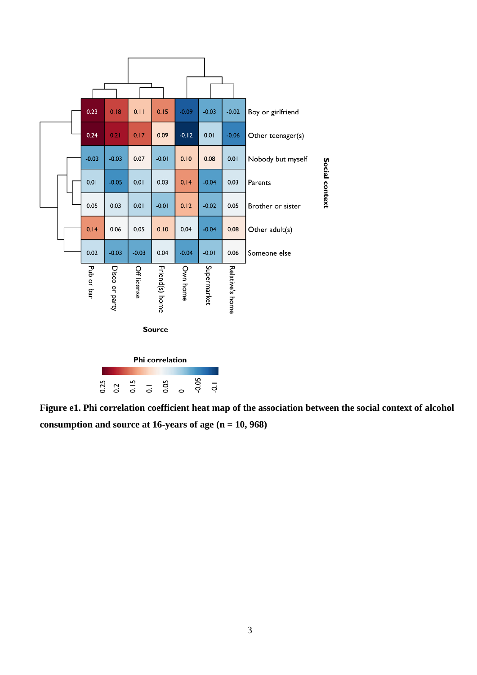

**Figure e1. Phi correlation coefficient heat map of the association between the social context of alcohol consumption and source at 16-years of age (n = 10, 968)**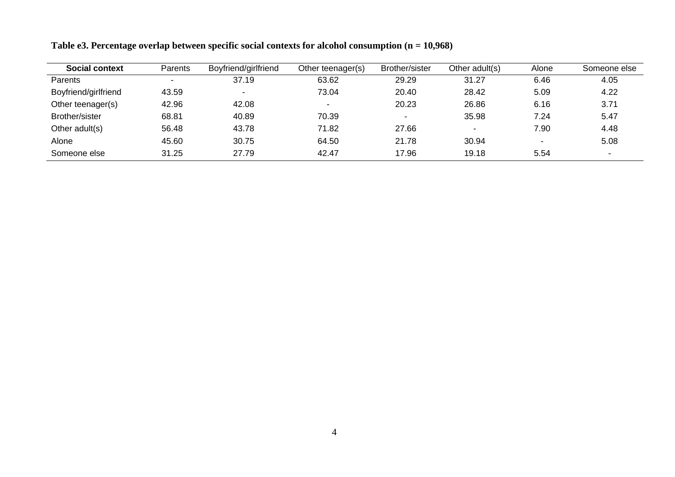| <b>Social context</b> | <b>Parents</b> | Boyfriend/girlfriend | Other teenager(s) | Brother/sister | Other adult(s)           | Alone                    | Someone else   |
|-----------------------|----------------|----------------------|-------------------|----------------|--------------------------|--------------------------|----------------|
| <b>Parents</b>        | -              | 37.19                | 63.62             | 29.29          | 31.27                    | 6.46                     | 4.05           |
| Boyfriend/girlfriend  | 43.59          |                      | 73.04             | 20.40          | 28.42                    | 5.09                     | 4.22           |
| Other teenager(s)     | 42.96          | 42.08                | $\sim$            | 20.23          | 26.86                    | 6.16                     | 3.71           |
| Brother/sister        | 68.81          | 40.89                | 70.39             |                | 35.98                    | 7.24                     | 5.47           |
| Other adult(s)        | 56.48          | 43.78                | 71.82             | 27.66          | $\overline{\phantom{0}}$ | 7.90                     | 4.48           |
| Alone                 | 45.60          | 30.75                | 64.50             | 21.78          | 30.94                    | $\overline{\phantom{0}}$ | 5.08           |
| Someone else          | 31.25          | 27.79                | 42.47             | 17.96          | 19.18                    | 5.54                     | $\blacksquare$ |

**Table e3. Percentage overlap between specific social contexts for alcohol consumption (n = 10,968)**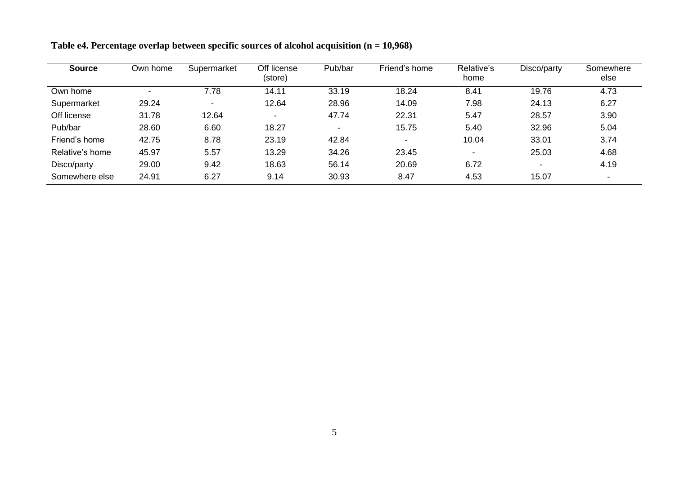| <b>Source</b>   | Own home | Supermarket              | Off license<br>(store) | Pub/bar        | Friend's home            | Relative's<br>home | Disco/party | Somewhere<br>else        |
|-----------------|----------|--------------------------|------------------------|----------------|--------------------------|--------------------|-------------|--------------------------|
| Own home        |          | 7.78                     | 14.11                  | 33.19          | 18.24                    | 8.41               | 19.76       | 4.73                     |
| Supermarket     | 29.24    | $\overline{\phantom{0}}$ | 12.64                  | 28.96          | 14.09                    | 7.98               | 24.13       | 6.27                     |
| Off license     | 31.78    | 12.64                    | $\blacksquare$         | 47.74          | 22.31                    | 5.47               | 28.57       | 3.90                     |
| Pub/bar         | 28.60    | 6.60                     | 18.27                  | $\blacksquare$ | 15.75                    | 5.40               | 32.96       | 5.04                     |
| Friend's home   | 42.75    | 8.78                     | 23.19                  | 42.84          | $\overline{\phantom{0}}$ | 10.04              | 33.01       | 3.74                     |
| Relative's home | 45.97    | 5.57                     | 13.29                  | 34.26          | 23.45                    | $\blacksquare$     | 25.03       | 4.68                     |
| Disco/party     | 29.00    | 9.42                     | 18.63                  | 56.14          | 20.69                    | 6.72               |             | 4.19                     |
| Somewhere else  | 24.91    | 6.27                     | 9.14                   | 30.93          | 8.47                     | 4.53               | 15.07       | $\overline{\phantom{0}}$ |

**Table e4. Percentage overlap between specific sources of alcohol acquisition (n = 10,968)**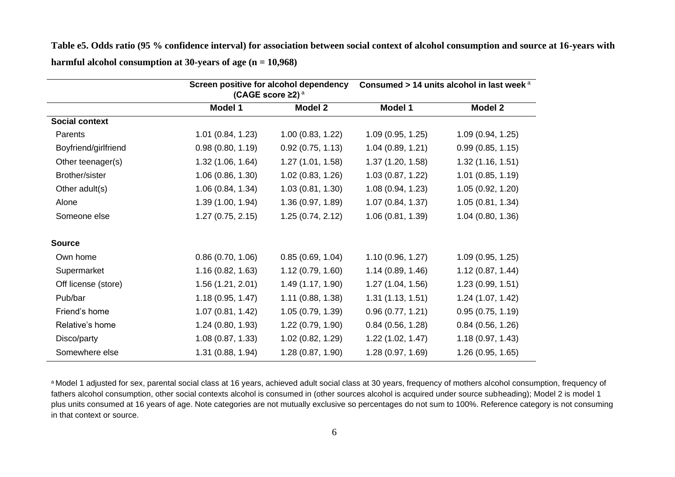**Table e5. Odds ratio (95 % confidence interval) for association between social context of alcohol consumption and source at 16-years with harmful alcohol consumption at 30-years of age (n = 10,968)**

|                       |                   | Screen positive for alcohol dependency<br>(CAGE score $\geq$ 2) <sup>a</sup> |                   | Consumed > 14 units alcohol in last week <sup>a</sup> |
|-----------------------|-------------------|------------------------------------------------------------------------------|-------------------|-------------------------------------------------------|
|                       | <b>Model 1</b>    | <b>Model 2</b>                                                               | <b>Model 1</b>    | <b>Model 2</b>                                        |
| <b>Social context</b> |                   |                                                                              |                   |                                                       |
| Parents               | 1.01(0.84, 1.23)  | 1.00(0.83, 1.22)                                                             | 1.09(0.95, 1.25)  | 1.09(0.94, 1.25)                                      |
| Boyfriend/girlfriend  | 0.98(0.80, 1.19)  | 0.92(0.75, 1.13)                                                             | 1.04(0.89, 1.21)  | 0.99(0.85, 1.15)                                      |
| Other teenager(s)     | 1.32(1.06, 1.64)  | 1.27(1.01, 1.58)                                                             | 1.37(1.20, 1.58)  | 1.32(1.16, 1.51)                                      |
| Brother/sister        | 1.06(0.86, 1.30)  | 1.02(0.83, 1.26)                                                             | 1.03(0.87, 1.22)  | 1.01(0.85, 1.19)                                      |
| Other adult(s)        | 1.06(0.84, 1.34)  | 1.03(0.81, 1.30)                                                             | 1.08(0.94, 1.23)  | 1.05(0.92, 1.20)                                      |
| Alone                 | 1.39(1.00, 1.94)  | 1.36 (0.97, 1.89)                                                            | 1.07 (0.84, 1.37) | 1.05(0.81, 1.34)                                      |
| Someone else          | 1.27(0.75, 2.15)  | 1.25(0.74, 2.12)                                                             | 1.06(0.81, 1.39)  | 1.04(0.80, 1.36)                                      |
| <b>Source</b>         |                   |                                                                              |                   |                                                       |
| Own home              | 0.86(0.70, 1.06)  | 0.85(0.69, 1.04)                                                             | 1.10 (0.96, 1.27) | 1.09(0.95, 1.25)                                      |
| Supermarket           | 1.16(0.82, 1.63)  | 1.12(0.79, 1.60)                                                             | 1.14(0.89, 1.46)  | 1.12(0.87, 1.44)                                      |
| Off license (store)   | 1.56(1.21, 2.01)  | 1.49 (1.17, 1.90)                                                            | 1.27 (1.04, 1.56) | 1.23(0.99, 1.51)                                      |
| Pub/bar               | 1.18(0.95, 1.47)  | 1.11(0.88, 1.38)                                                             | 1.31(1.13, 1.51)  | 1.24(1.07, 1.42)                                      |
| Friend's home         | 1.07(0.81, 1.42)  | 1.05(0.79, 1.39)                                                             | 0.96(0.77, 1.21)  | 0.95(0.75, 1.19)                                      |
| Relative's home       | 1.24(0.80, 1.93)  | 1.22(0.79, 1.90)                                                             | 0.84(0.56, 1.28)  | 0.84(0.56, 1.26)                                      |
| Disco/party           | 1.08(0.87, 1.33)  | 1.02 (0.82, 1.29)                                                            | 1.22(1.02, 1.47)  | 1.18(0.97, 1.43)                                      |
| Somewhere else        | 1.31 (0.88, 1.94) | 1.28(0.87, 1.90)                                                             | 1.28(0.97, 1.69)  | 1.26 (0.95, 1.65)                                     |

a Model 1 adjusted for sex, parental social class at 16 years, achieved adult social class at 30 years, frequency of mothers alcohol consumption, frequency of fathers alcohol consumption, other social contexts alcohol is consumed in (other sources alcohol is acquired under source subheading); Model 2 is model 1 plus units consumed at 16 years of age. Note categories are not mutually exclusive so percentages do not sum to 100%. Reference category is not consuming in that context or source.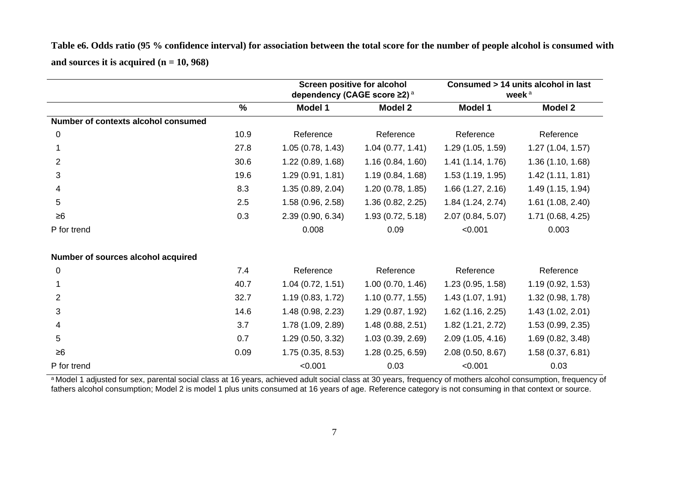**Table e6. Odds ratio (95 % confidence interval) for association between the total score for the number of people alcohol is consumed with and sources it is acquired (n = 10, 968)**

|                                     |               | <b>Screen positive for alcohol</b><br>dependency (CAGE score ≥2) <sup>a</sup> |                  | Consumed > 14 units alcohol in last<br>week <sup>a</sup> |                   |
|-------------------------------------|---------------|-------------------------------------------------------------------------------|------------------|----------------------------------------------------------|-------------------|
|                                     | $\frac{9}{6}$ | <b>Model 1</b>                                                                | <b>Model 2</b>   | <b>Model 1</b>                                           | <b>Model 2</b>    |
| Number of contexts alcohol consumed |               |                                                                               |                  |                                                          |                   |
| 0                                   | 10.9          | Reference                                                                     | Reference        | Reference                                                | Reference         |
|                                     | 27.8          | 1.05(0.78, 1.43)                                                              | 1.04(0.77, 1.41) | 1.29(1.05, 1.59)                                         | 1.27(1.04, 1.57)  |
| $\overline{2}$                      | 30.6          | 1.22(0.89, 1.68)                                                              | 1.16(0.84, 1.60) | 1.41(1.14, 1.76)                                         | 1.36(1.10, 1.68)  |
| 3                                   | 19.6          | 1.29(0.91, 1.81)                                                              | 1.19(0.84, 1.68) | 1.53(1.19, 1.95)                                         | 1.42(1.11, 1.81)  |
| 4                                   | 8.3           | 1.35(0.89, 2.04)                                                              | 1.20(0.78, 1.85) | 1.66(1.27, 2.16)                                         | 1.49(1.15, 1.94)  |
| 5                                   | 2.5           | 1.58(0.96, 2.58)                                                              | 1.36(0.82, 2.25) | 1.84(1.24, 2.74)                                         | 1.61(1.08, 2.40)  |
| $\geq 6$                            | 0.3           | 2.39 (0.90, 6.34)                                                             | 1.93(0.72, 5.18) | 2.07(0.84, 5.07)                                         | 1.71(0.68, 4.25)  |
| P for trend                         |               | 0.008                                                                         | 0.09             | < 0.001                                                  | 0.003             |
| Number of sources alcohol acquired  |               |                                                                               |                  |                                                          |                   |
| 0                                   | 7.4           | Reference                                                                     | Reference        | Reference                                                | Reference         |
|                                     | 40.7          | 1.04(0.72, 1.51)                                                              | 1.00(0.70, 1.46) | 1.23(0.95, 1.58)                                         | 1.19(0.92, 1.53)  |
| 2                                   | 32.7          | 1.19(0.83, 1.72)                                                              | 1.10(0.77, 1.55) | 1.43(1.07, 1.91)                                         | 1.32 (0.98, 1.78) |
| 3                                   | 14.6          | 1.48(0.98, 2.23)                                                              | 1.29(0.87, 1.92) | 1.62(1.16, 2.25)                                         | 1.43(1.02, 2.01)  |
| 4                                   | 3.7           | 1.78(1.09, 2.89)                                                              | 1.48(0.88, 2.51) | 1.82(1.21, 2.72)                                         | 1.53(0.99, 2.35)  |
| 5                                   | 0.7           | 1.29(0.50, 3.32)                                                              | 1.03(0.39, 2.69) | 2.09(1.05, 4.16)                                         | 1.69 (0.82, 3.48) |
| $\geq 6$                            | 0.09          | 1.75(0.35, 8.53)                                                              | 1.28(0.25, 6.59) | 2.08(0.50, 8.67)                                         | 1.58(0.37, 6.81)  |
| P for trend                         |               | < 0.001                                                                       | 0.03             | < 0.001                                                  | 0.03              |

a Model 1 adjusted for sex, parental social class at 16 years, achieved adult social class at 30 years, frequency of mothers alcohol consumption, frequency of fathers alcohol consumption; Model 2 is model 1 plus units consumed at 16 years of age. Reference category is not consuming in that context or source.